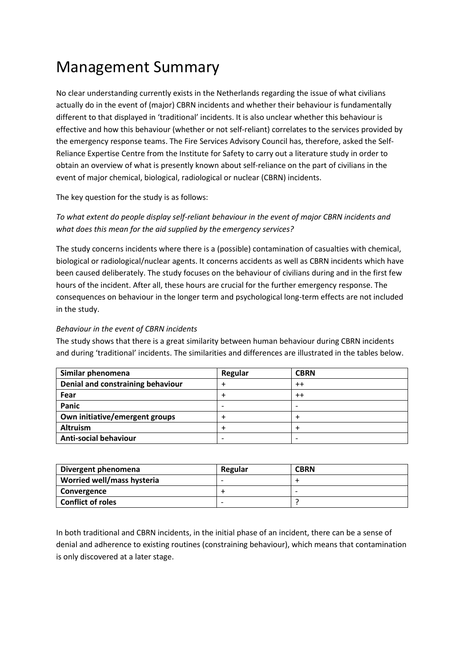# Management Summary

No clear understanding currently exists in the Netherlands regarding the issue of what civilians actually do in the event of (major) CBRN incidents and whether their behaviour is fundamentally different to that displayed in 'traditional' incidents. It is also unclear whether this behaviour is effective and how this behaviour (whether or not self-reliant) correlates to the services provided by the emergency response teams. The Fire Services Advisory Council has, therefore, asked the Self-Reliance Expertise Centre from the Institute for Safety to carry out a literature study in order to obtain an overview of what is presently known about self-reliance on the part of civilians in the event of major chemical, biological, radiological or nuclear (CBRN) incidents.

The key question for the study is as follows:

*To what extent do people display self-reliant behaviour in the event of major CBRN incidents and what does this mean for the aid supplied by the emergency services?*

The study concerns incidents where there is a (possible) contamination of casualties with chemical, biological or radiological/nuclear agents. It concerns accidents as well as CBRN incidents which have been caused deliberately. The study focuses on the behaviour of civilians during and in the first few hours of the incident. After all, these hours are crucial for the further emergency response. The consequences on behaviour in the longer term and psychological long-term effects are not included in the study.

# *Behaviour in the event of CBRN incidents*

The study shows that there is a great similarity between human behaviour during CBRN incidents and during 'traditional' incidents. The similarities and differences are illustrated in the tables below.

| Similar phenomena                 | Regular                  | <b>CBRN</b>              |
|-----------------------------------|--------------------------|--------------------------|
| Denial and constraining behaviour |                          | $^{++}$                  |
| Fear                              |                          | $^{++}$                  |
| Panic                             | $\overline{\phantom{0}}$ |                          |
| Own initiative/emergent groups    |                          |                          |
| <b>Altruism</b>                   |                          |                          |
| <b>Anti-social behaviour</b>      | $\overline{\phantom{0}}$ | $\overline{\phantom{0}}$ |

| Divergent phenomena        | Regular | <b>CBRN</b> |
|----------------------------|---------|-------------|
| Worried well/mass hysteria |         |             |
| Convergence                |         | ۰           |
| <b>Conflict of roles</b>   | -       |             |

In both traditional and CBRN incidents, in the initial phase of an incident, there can be a sense of denial and adherence to existing routines (constraining behaviour), which means that contamination is only discovered at a later stage.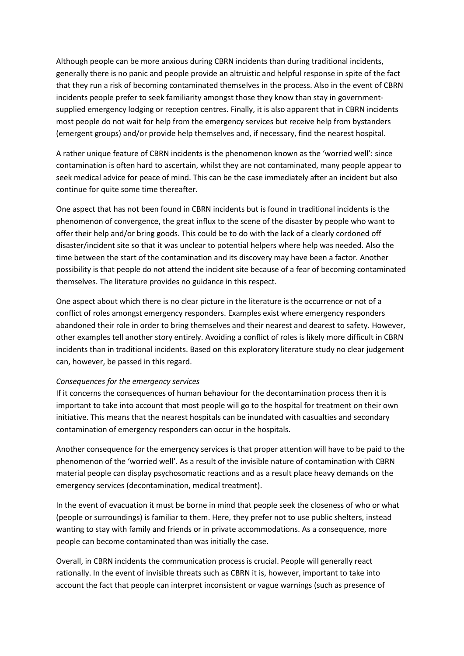Although people can be more anxious during CBRN incidents than during traditional incidents, generally there is no panic and people provide an altruistic and helpful response in spite of the fact that they run a risk of becoming contaminated themselves in the process. Also in the event of CBRN incidents people prefer to seek familiarity amongst those they know than stay in governmentsupplied emergency lodging or reception centres. Finally, it is also apparent that in CBRN incidents most people do not wait for help from the emergency services but receive help from bystanders (emergent groups) and/or provide help themselves and, if necessary, find the nearest hospital.

A rather unique feature of CBRN incidents is the phenomenon known as the 'worried well': since contamination is often hard to ascertain, whilst they are not contaminated, many people appear to seek medical advice for peace of mind. This can be the case immediately after an incident but also continue for quite some time thereafter.

One aspect that has not been found in CBRN incidents but is found in traditional incidents is the phenomenon of convergence, the great influx to the scene of the disaster by people who want to offer their help and/or bring goods. This could be to do with the lack of a clearly cordoned off disaster/incident site so that it was unclear to potential helpers where help was needed. Also the time between the start of the contamination and its discovery may have been a factor. Another possibility is that people do not attend the incident site because of a fear of becoming contaminated themselves. The literature provides no guidance in this respect.

One aspect about which there is no clear picture in the literature is the occurrence or not of a conflict of roles amongst emergency responders. Examples exist where emergency responders abandoned their role in order to bring themselves and their nearest and dearest to safety. However, other examples tell another story entirely. Avoiding a conflict of roles is likely more difficult in CBRN incidents than in traditional incidents. Based on this exploratory literature study no clear judgement can, however, be passed in this regard.

## *Consequences for the emergency services*

If it concerns the consequences of human behaviour for the decontamination process then it is important to take into account that most people will go to the hospital for treatment on their own initiative. This means that the nearest hospitals can be inundated with casualties and secondary contamination of emergency responders can occur in the hospitals.

Another consequence for the emergency services is that proper attention will have to be paid to the phenomenon of the 'worried well'. As a result of the invisible nature of contamination with CBRN material people can display psychosomatic reactions and as a result place heavy demands on the emergency services (decontamination, medical treatment).

In the event of evacuation it must be borne in mind that people seek the closeness of who or what (people or surroundings) is familiar to them. Here, they prefer not to use public shelters, instead wanting to stay with family and friends or in private accommodations. As a consequence, more people can become contaminated than was initially the case.

Overall, in CBRN incidents the communication process is crucial. People will generally react rationally. In the event of invisible threats such as CBRN it is, however, important to take into account the fact that people can interpret inconsistent or vague warnings (such as presence of